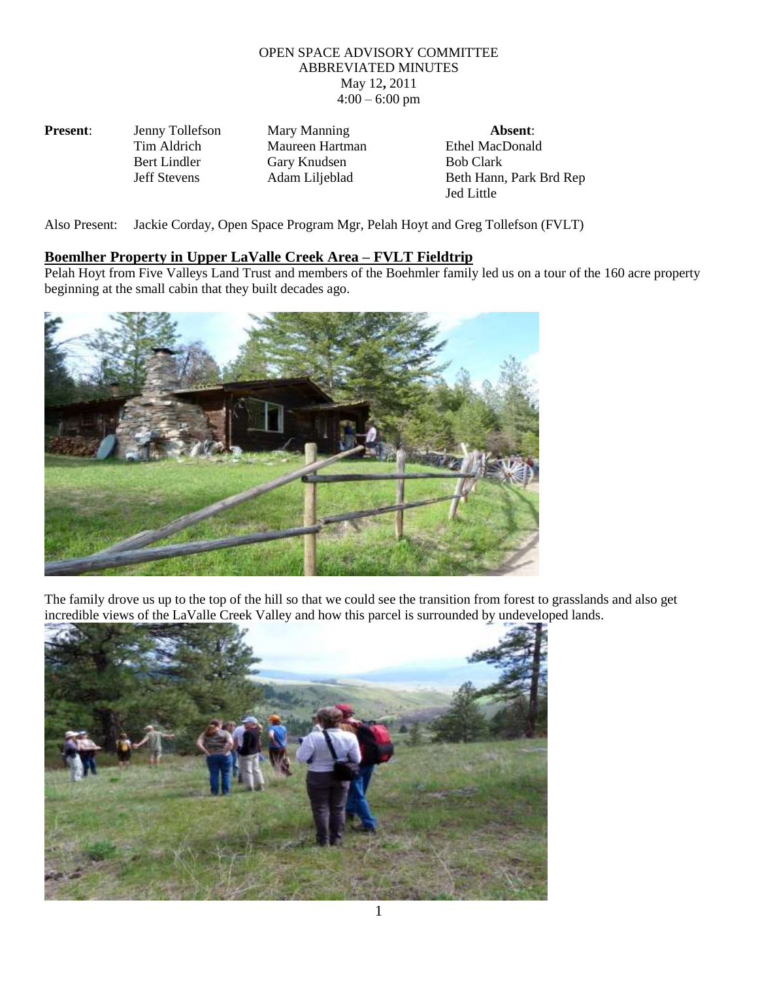## OPEN SPACE ADVISORY COMMITTEE ABBREVIATED MINUTES May 12**,** 2011  $4:00 - 6:00$  pm

| <b>Present:</b> | Jenny Tollefson     | Mary Manning    | Absent:                 |
|-----------------|---------------------|-----------------|-------------------------|
|                 | Tim Aldrich         | Maureen Hartman | Ethel MacDonald         |
|                 | Bert Lindler        | Gary Knudsen    | <b>Bob Clark</b>        |
|                 | <b>Jeff Stevens</b> | Adam Liljeblad  | Beth Hann, Park Brd Rep |
|                 |                     |                 | Jed Little              |

Also Present: Jackie Corday, Open Space Program Mgr, Pelah Hoyt and Greg Tollefson (FVLT)

## **Boemlher Property in Upper LaValle Creek Area – FVLT Fieldtrip**

Pelah Hoyt from Five Valleys Land Trust and members of the Boehmler family led us on a tour of the 160 acre property beginning at the small cabin that they built decades ago.



The family drove us up to the top of the hill so that we could see the transition from forest to grasslands and also get incredible views of the LaValle Creek Valley and how this parcel is surrounded by undeveloped lands.